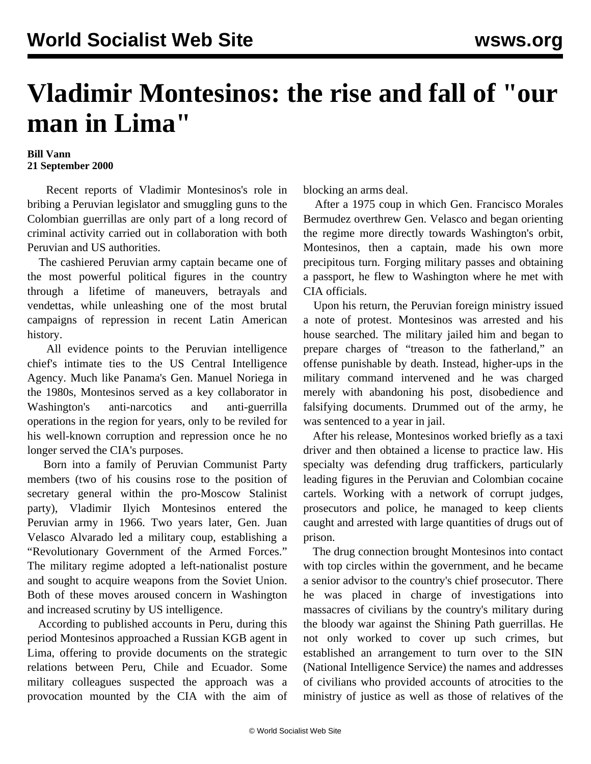## **Vladimir Montesinos: the rise and fall of "our man in Lima"**

## **Bill Vann 21 September 2000**

 Recent reports of Vladimir Montesinos's role in bribing a Peruvian legislator and smuggling guns to the Colombian guerrillas are only part of a long record of criminal activity carried out in collaboration with both Peruvian and US authorities.

 The cashiered Peruvian army captain became one of the most powerful political figures in the country through a lifetime of maneuvers, betrayals and vendettas, while unleashing one of the most brutal campaigns of repression in recent Latin American history.

 All evidence points to the Peruvian intelligence chief's intimate ties to the US Central Intelligence Agency. Much like Panama's Gen. Manuel Noriega in the 1980s, Montesinos served as a key collaborator in Washington's anti-narcotics and anti-guerrilla operations in the region for years, only to be reviled for his well-known corruption and repression once he no longer served the CIA's purposes.

 Born into a family of Peruvian Communist Party members (two of his cousins rose to the position of secretary general within the pro-Moscow Stalinist party), Vladimir Ilyich Montesinos entered the Peruvian army in 1966. Two years later, Gen. Juan Velasco Alvarado led a military coup, establishing a "Revolutionary Government of the Armed Forces." The military regime adopted a left-nationalist posture and sought to acquire weapons from the Soviet Union. Both of these moves aroused concern in Washington and increased scrutiny by US intelligence.

 According to published accounts in Peru, during this period Montesinos approached a Russian KGB agent in Lima, offering to provide documents on the strategic relations between Peru, Chile and Ecuador. Some military colleagues suspected the approach was a provocation mounted by the CIA with the aim of blocking an arms deal.

 After a 1975 coup in which Gen. Francisco Morales Bermudez overthrew Gen. Velasco and began orienting the regime more directly towards Washington's orbit, Montesinos, then a captain, made his own more precipitous turn. Forging military passes and obtaining a passport, he flew to Washington where he met with CIA officials.

 Upon his return, the Peruvian foreign ministry issued a note of protest. Montesinos was arrested and his house searched. The military jailed him and began to prepare charges of "treason to the fatherland," an offense punishable by death. Instead, higher-ups in the military command intervened and he was charged merely with abandoning his post, disobedience and falsifying documents. Drummed out of the army, he was sentenced to a year in jail.

 After his release, Montesinos worked briefly as a taxi driver and then obtained a license to practice law. His specialty was defending drug traffickers, particularly leading figures in the Peruvian and Colombian cocaine cartels. Working with a network of corrupt judges, prosecutors and police, he managed to keep clients caught and arrested with large quantities of drugs out of prison.

 The drug connection brought Montesinos into contact with top circles within the government, and he became a senior advisor to the country's chief prosecutor. There he was placed in charge of investigations into massacres of civilians by the country's military during the bloody war against the Shining Path guerrillas. He not only worked to cover up such crimes, but established an arrangement to turn over to the SIN (National Intelligence Service) the names and addresses of civilians who provided accounts of atrocities to the ministry of justice as well as those of relatives of the